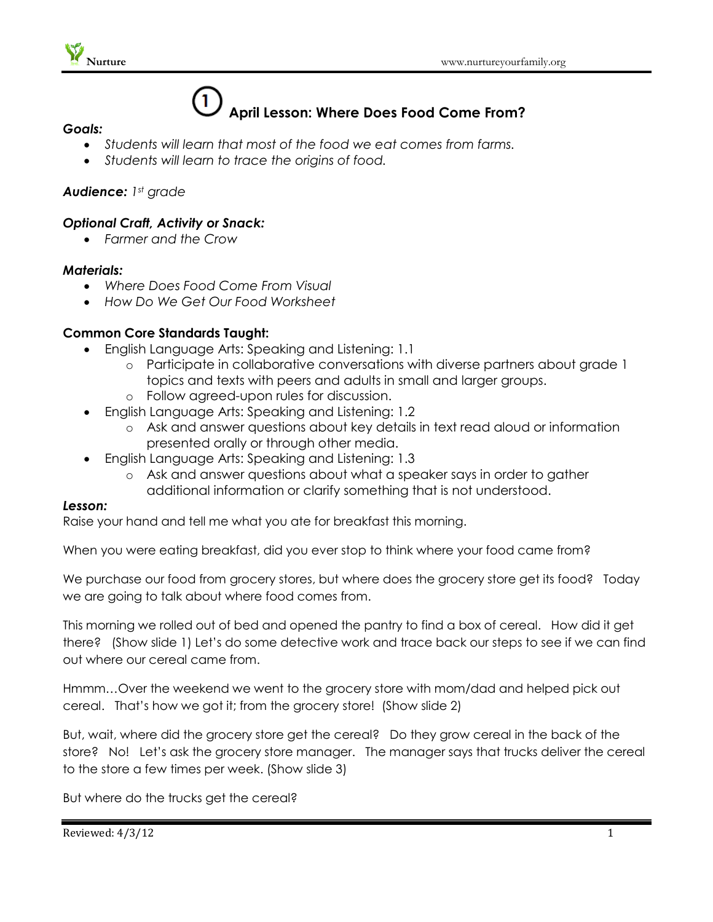# $\mathbf{1}$ **April Lesson: Where Does Food Come From?**

- *Goals:*
	- *Students will learn that most of the food we eat comes from farms.*
	- *Students will learn to trace the origins of food.*

# *Audience: 1st grade*

# *Optional Craft, Activity or Snack:*

*Farmer and the Crow*

#### *Materials:*

- *Where Does Food Come From Visual*
- *How Do We Get Our Food Worksheet*

### **Common Core Standards Taught:**

- English Language Arts: Speaking and Listening: 1.1
	- o Participate in collaborative conversations with diverse partners about grade 1 topics and texts with peers and adults in small and larger groups.
	- o Follow agreed-upon rules for discussion.
- English Language Arts: Speaking and Listening: 1.2
	- o Ask and answer questions about key details in text read aloud or information presented orally or through other media.
- English Language Arts: Speaking and Listening: 1.3
	- o Ask and answer questions about what a speaker says in order to gather additional information or clarify something that is not understood.

#### *Lesson:*

Raise your hand and tell me what you ate for breakfast this morning.

When you were eating breakfast, did you ever stop to think where your food came from?

We purchase our food from grocery stores, but where does the grocery store get its food? Today we are going to talk about where food comes from.

This morning we rolled out of bed and opened the pantry to find a box of cereal. How did it get there? (Show slide 1) Let's do some detective work and trace back our steps to see if we can find out where our cereal came from.

Hmmm…Over the weekend we went to the grocery store with mom/dad and helped pick out cereal. That's how we got it; from the grocery store! (Show slide 2)

But, wait, where did the grocery store get the cereal? Do they grow cereal in the back of the store? No! Let's ask the grocery store manager. The manager says that trucks deliver the cereal to the store a few times per week. (Show slide 3)

But where do the trucks get the cereal?